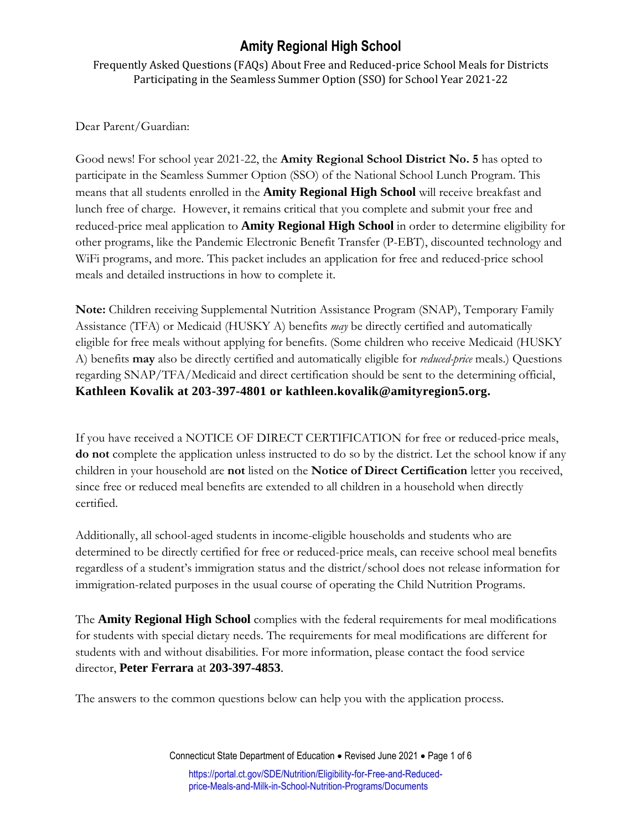## **Amity Regional High School**

Frequently Asked Questions (FAQs) About Free and Reduced-price School Meals for Districts Participating in the Seamless Summer Option (SSO) for School Year 2021-22

Dear Parent/Guardian:

Good news! For school year 2021-22, the **Amity Regional School District No. 5** has opted to participate in the Seamless Summer Option (SSO) of the National School Lunch Program. This means that all students enrolled in the **Amity Regional High School** will receive breakfast and lunch free of charge. However, it remains critical that you complete and submit your free and reduced-price meal application to **Amity Regional High School** in order to determine eligibility for other programs, like the Pandemic Electronic Benefit Transfer (P-EBT), discounted technology and WiFi programs, and more. This packet includes an application for free and reduced-price school meals and detailed instructions in how to complete it.

**Note:** Children receiving Supplemental Nutrition Assistance Program (SNAP), Temporary Family Assistance (TFA) or Medicaid (HUSKY A) benefits *may* be directly certified and automatically eligible for free meals without applying for benefits. (Some children who receive Medicaid (HUSKY A) benefits **may** also be directly certified and automatically eligible for *reduced-price* meals.) Questions regarding SNAP/TFA/Medicaid and direct certification should be sent to the determining official, **Kathleen Kovalik at 203-397-4801 or kathleen.kovalik@amityregion5.org.**

If you have received a NOTICE OF DIRECT CERTIFICATION for free or reduced-price meals, **do not** complete the application unless instructed to do so by the district. Let the school know if any children in your household are **not** listed on the **Notice of Direct Certification** letter you received, since free or reduced meal benefits are extended to all children in a household when directly certified.

Additionally, all school-aged students in income-eligible households and students who are determined to be directly certified for free or reduced-price meals, can receive school meal benefits regardless of a student's immigration status and the district/school does not release information for immigration-related purposes in the usual course of operating the Child Nutrition Programs.

The **Amity Regional High School** complies with the federal requirements for meal modifications for students with special dietary needs. The requirements for meal modifications are different for students with and without disabilities. For more information, please contact the food service director, **Peter Ferrara** at **203-397-4853**.

The answers to the common questions below can help you with the application process.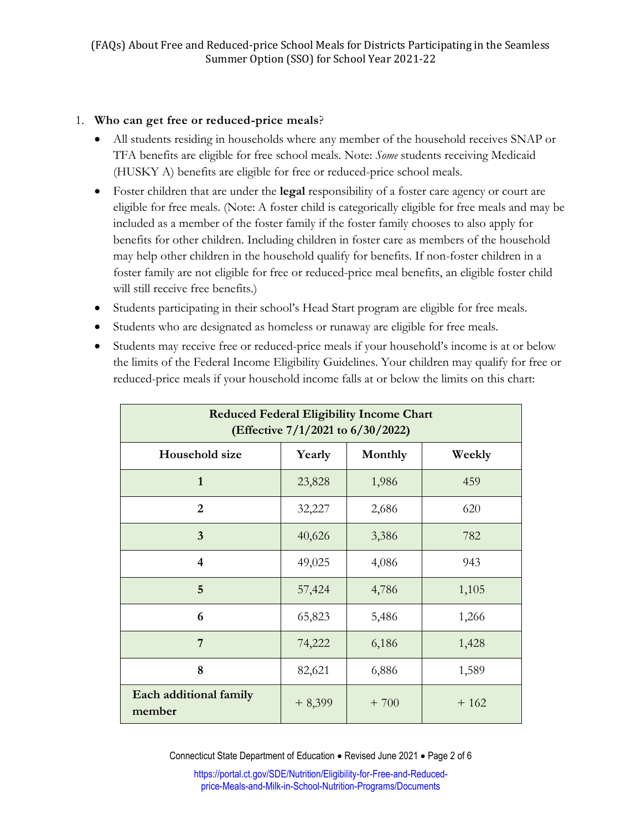## 1. **Who can get free or reduced-price meals**?

- All students residing in households where any member of the household receives SNAP or TFA benefits are eligible for free school meals. Note: *Some* students receiving Medicaid (HUSKY A) benefits are eligible for free or reduced-price school meals.
- Foster children that are under the **legal** responsibility of a foster care agency or court are eligible for free meals. (Note: A foster child is categorically eligible for free meals and may be included as a member of the foster family if the foster family chooses to also apply for benefits for other children. Including children in foster care as members of the household may help other children in the household qualify for benefits. If non-foster children in a foster family are not eligible for free or reduced-price meal benefits, an eligible foster child will still receive free benefits.)
- Students participating in their school's Head Start program are eligible for free meals.
- Students who are designated as homeless or runaway are eligible for free meals.
- Students may receive free or reduced-price meals if your household's income is at or below the limits of the Federal Income Eligibility Guidelines. Your children may qualify for free or reduced-price meals if your household income falls at or below the limits on this chart:

| <b>Reduced Federal Eligibility Income Chart</b><br>(Effective 7/1/2021 to 6/30/2022) |          |         |        |
|--------------------------------------------------------------------------------------|----------|---------|--------|
| Household size                                                                       | Yearly   | Monthly | Weekly |
| $\mathbf{1}$                                                                         | 23,828   | 1,986   | 459    |
| $\overline{2}$                                                                       | 32,227   | 2,686   | 620    |
| $\overline{3}$                                                                       | 40,626   | 3,386   | 782    |
| $\overline{\mathbf{4}}$                                                              | 49,025   | 4,086   | 943    |
| 5                                                                                    | 57,424   | 4,786   | 1,105  |
| 6                                                                                    | 65,823   | 5,486   | 1,266  |
| 7                                                                                    | 74,222   | 6,186   | 1,428  |
| 8                                                                                    | 82,621   | 6,886   | 1,589  |
| Each additional family<br>member                                                     | $+8,399$ | $+700$  | $+162$ |

Connecticut State Department of Education . Revised June 2021 . Page 2 of 6

[https://portal.ct.gov/SDE/Nutrition/Eligibility-for-Free-and-Reduced](https://portal.ct.gov/SDE/Nutrition/Eligibility-for-Free-and-Reduced-price-Meals-and-Milk-in-School-Nutrition-Programs/Documents)[price-Meals-and-Milk-in-School-Nutrition-Programs/Documents](https://portal.ct.gov/SDE/Nutrition/Eligibility-for-Free-and-Reduced-price-Meals-and-Milk-in-School-Nutrition-Programs/Documents)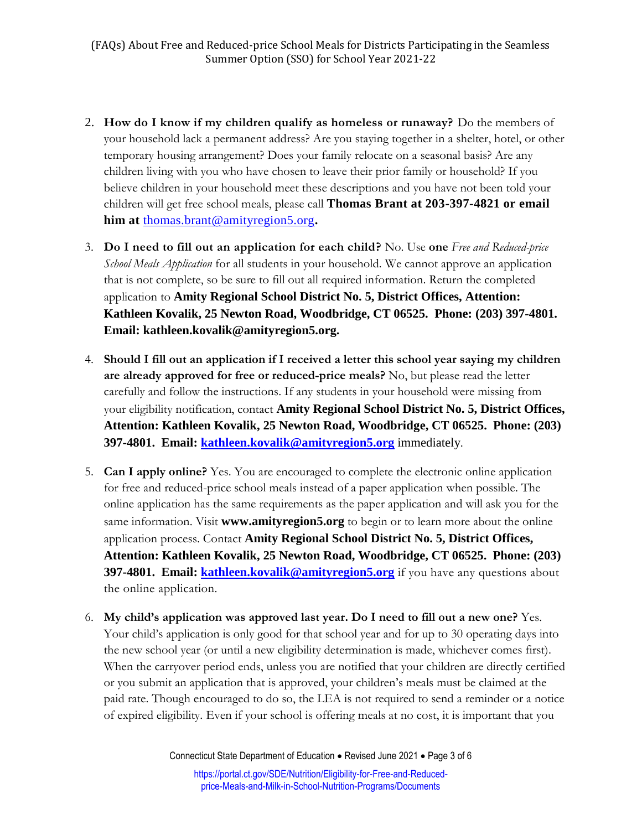- 2. **How do I know if my children qualify as homeless or runaway?** Do the members of your household lack a permanent address? Are you staying together in a shelter, hotel, or other temporary housing arrangement? Does your family relocate on a seasonal basis? Are any children living with you who have chosen to leave their prior family or household? If you believe children in your household meet these descriptions and you have not been told your children will get free school meals, please call **Thomas Brant at 203-397-4821 or email him at** [thomas.brant@amityregion5.org](mailto:thomas.brant@amityregion5.org)**.**
- 3. **Do I need to fill out an application for each child?** No. Use **one** *Free and Reduced-price School Meals Application* for all students in your household*.* We cannot approve an application that is not complete, so be sure to fill out all required information. Return the completed application to **Amity Regional School District No. 5, District Offices, Attention: Kathleen Kovalik, 25 Newton Road, Woodbridge, CT 06525. Phone: (203) 397-4801. Email: kathleen.kovalik@amityregion5.org.**
- 4. **Should I fill out an application if I received a letter this school year saying my children are already approved for free or reduced-price meals?** No, but please read the letter carefully and follow the instructions. If any students in your household were missing from your eligibility notification, contact **Amity Regional School District No. 5, District Offices, Attention: Kathleen Kovalik, 25 Newton Road, Woodbridge, CT 06525. Phone: (203) 397-4801. Email: [kathleen.kovalik@amityregion5.org](mailto:kathleen.kovalik@amityregion5.org)** immediately.
- 5. **Can I apply online?** Yes. You are encouraged to complete the electronic online application for free and reduced-price school meals instead of a paper application when possible. The online application has the same requirements as the paper application and will ask you for the same information. Visit **www.amityregion5.org** to begin or to learn more about the online application process. Contact **Amity Regional School District No. 5, District Offices, Attention: Kathleen Kovalik, 25 Newton Road, Woodbridge, CT 06525. Phone: (203) 397-4801. Email: [kathleen.kovalik@amityregion5.org](mailto:kathleen.kovalik@amityregion5.org)** if you have any questions about the online application.
- 6. **My child's application was approved last year. Do I need to fill out a new one?** Yes. Your child's application is only good for that school year and for up to 30 operating days into the new school year (or until a new eligibility determination is made, whichever comes first). When the carryover period ends, unless you are notified that your children are directly certified or you submit an application that is approved, your children's meals must be claimed at the paid rate. Though encouraged to do so, the LEA is not required to send a reminder or a notice of expired eligibility. Even if your school is offering meals at no cost, it is important that you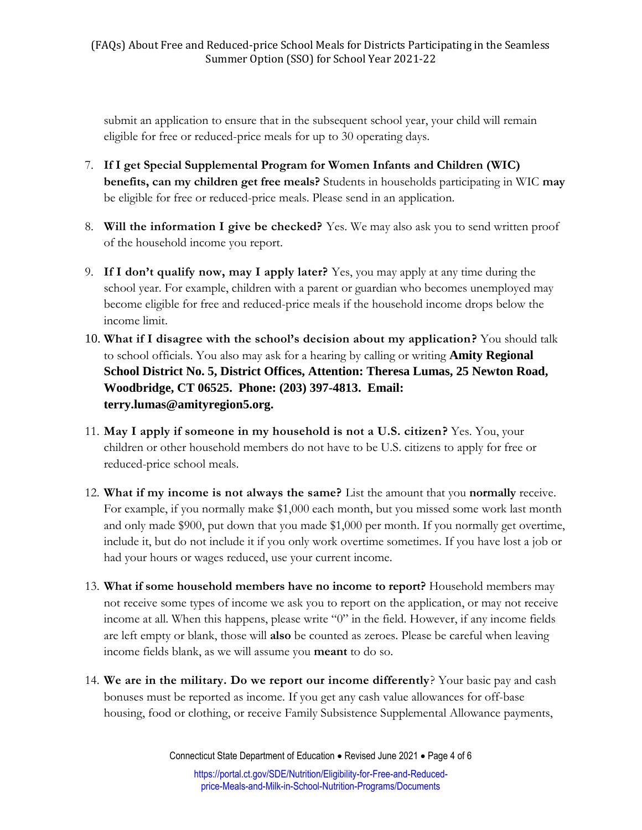submit an application to ensure that in the subsequent school year, your child will remain eligible for free or reduced-price meals for up to 30 operating days.

- 7. **If I get Special Supplemental Program for Women Infants and Children (WIC) benefits, can my children get free meals?** Students in households participating in WIC **may** be eligible for free or reduced-price meals. Please send in an application.
- 8. **Will the information I give be checked?** Yes. We may also ask you to send written proof of the household income you report.
- 9. **If I don't qualify now, may I apply later?** Yes, you may apply at any time during the school year. For example, children with a parent or guardian who becomes unemployed may become eligible for free and reduced-price meals if the household income drops below the income limit.
- 10. **What if I disagree with the school's decision about my application?** You should talk to school officials. You also may ask for a hearing by calling or writing **Amity Regional School District No. 5, District Offices, Attention: Theresa Lumas, 25 Newton Road, Woodbridge, CT 06525. Phone: (203) 397-4813. Email: terry.lumas@amityregion5.org.**
- 11. **May I apply if someone in my household is not a U.S. citizen?** Yes. You, your children or other household members do not have to be U.S. citizens to apply for free or reduced-price school meals.
- 12. **What if my income is not always the same?** List the amount that you **normally** receive. For example, if you normally make \$1,000 each month, but you missed some work last month and only made \$900, put down that you made \$1,000 per month. If you normally get overtime, include it, but do not include it if you only work overtime sometimes. If you have lost a job or had your hours or wages reduced, use your current income.
- 13. **What if some household members have no income to report?** Household members may not receive some types of income we ask you to report on the application, or may not receive income at all. When this happens, please write "0" in the field. However, if any income fields are left empty or blank, those will **also** be counted as zeroes. Please be careful when leaving income fields blank, as we will assume you **meant** to do so.
- 14. **We are in the military. Do we report our income differently**? Your basic pay and cash bonuses must be reported as income. If you get any cash value allowances for off-base housing, food or clothing, or receive Family Subsistence Supplemental Allowance payments,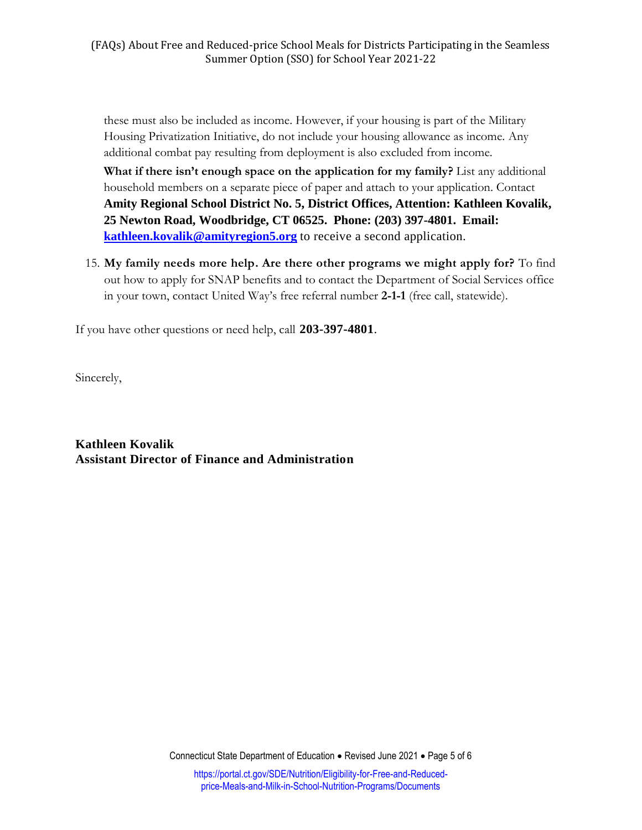these must also be included as income. However, if your housing is part of the Military Housing Privatization Initiative, do not include your housing allowance as income. Any additional combat pay resulting from deployment is also excluded from income.

**What if there isn't enough space on the application for my family?** List any additional household members on a separate piece of paper and attach to your application. Contact **Amity Regional School District No. 5, District Offices, Attention: Kathleen Kovalik, 25 Newton Road, Woodbridge, CT 06525. Phone: (203) 397-4801. Email: [kathleen.kovalik@amityregion5.org](mailto:kathleen.kovalik@amityregion5.org)** to receive a second application.

15. **My family needs more help. Are there other programs we might apply for?** To find out how to apply for SNAP benefits and to contact the Department of Social Services office in your town, contact United Way's free referral number **2-1-1** (free call, statewide).

If you have other questions or need help, call **203-397-4801**.

Sincerely,

**Kathleen Kovalik Assistant Director of Finance and Administration**